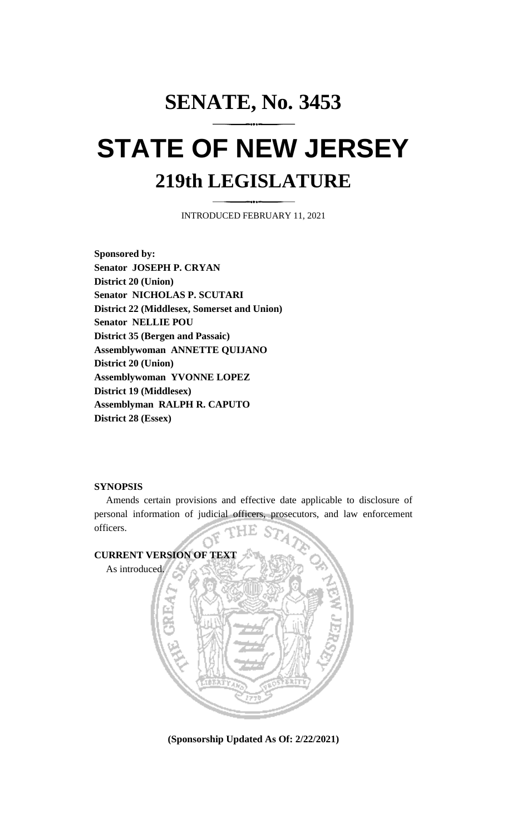# **SENATE, No. 3453 STATE OF NEW JERSEY 219th LEGISLATURE**

INTRODUCED FEBRUARY 11, 2021

**Sponsored by: Senator JOSEPH P. CRYAN District 20 (Union) Senator NICHOLAS P. SCUTARI District 22 (Middlesex, Somerset and Union) Senator NELLIE POU District 35 (Bergen and Passaic) Assemblywoman ANNETTE QUIJANO District 20 (Union) Assemblywoman YVONNE LOPEZ District 19 (Middlesex) Assemblyman RALPH R. CAPUTO District 28 (Essex)**

### **SYNOPSIS**

Amends certain provisions and effective date applicable to disclosure of personal information of judicial officers, prosecutors, and law enforcement officers.



**(Sponsorship Updated As Of: 2/22/2021)**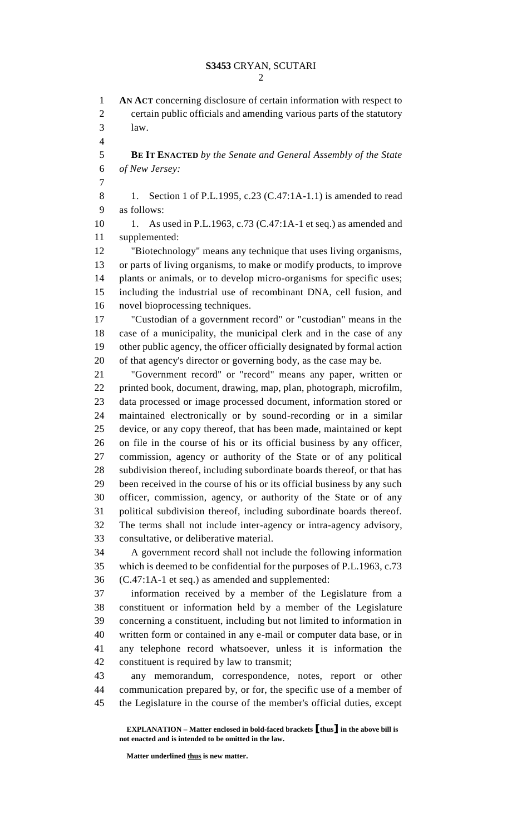**AN ACT** concerning disclosure of certain information with respect to certain public officials and amending various parts of the statutory law. **BE IT ENACTED** *by the Senate and General Assembly of the State of New Jersey:* 8 1. Section 1 of P.L.1995, c.23 (C.47:1A-1.1) is amended to read as follows: 1. As used in P.L.1963, c.73 (C.47:1A-1 et seq.) as amended and supplemented: "Biotechnology" means any technique that uses living organisms, or parts of living organisms, to make or modify products, to improve plants or animals, or to develop micro-organisms for specific uses; including the industrial use of recombinant DNA, cell fusion, and novel bioprocessing techniques. "Custodian of a government record" or "custodian" means in the case of a municipality, the municipal clerk and in the case of any other public agency, the officer officially designated by formal action of that agency's director or governing body, as the case may be. "Government record" or "record" means any paper, written or printed book, document, drawing, map, plan, photograph, microfilm, data processed or image processed document, information stored or maintained electronically or by sound-recording or in a similar device, or any copy thereof, that has been made, maintained or kept on file in the course of his or its official business by any officer, commission, agency or authority of the State or of any political subdivision thereof, including subordinate boards thereof, or that has been received in the course of his or its official business by any such officer, commission, agency, or authority of the State or of any political subdivision thereof, including subordinate boards thereof. The terms shall not include inter-agency or intra-agency advisory, consultative, or deliberative material. A government record shall not include the following information which is deemed to be confidential for the purposes of P.L.1963, c.73 (C.47:1A-1 et seq.) as amended and supplemented: information received by a member of the Legislature from a constituent or information held by a member of the Legislature concerning a constituent, including but not limited to information in written form or contained in any e-mail or computer data base, or in any telephone record whatsoever, unless it is information the constituent is required by law to transmit; any memorandum, correspondence, notes, report or other communication prepared by, or for, the specific use of a member of the Legislature in the course of the member's official duties, except

**EXPLANATION – Matter enclosed in bold-faced brackets [thus] in the above bill is not enacted and is intended to be omitted in the law.**

Matter underlined <u>thus</u> is new matter.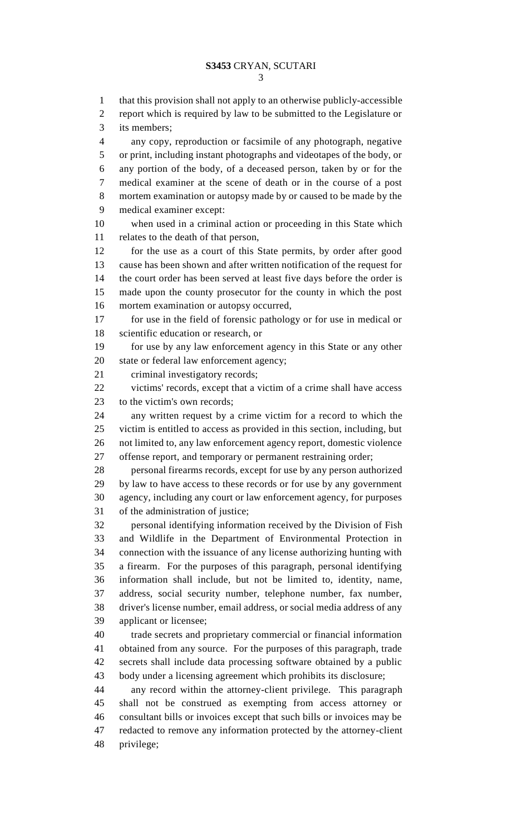that this provision shall not apply to an otherwise publicly-accessible report which is required by law to be submitted to the Legislature or its members; any copy, reproduction or facsimile of any photograph, negative or print, including instant photographs and videotapes of the body, or any portion of the body, of a deceased person, taken by or for the medical examiner at the scene of death or in the course of a post mortem examination or autopsy made by or caused to be made by the medical examiner except: when used in a criminal action or proceeding in this State which relates to the death of that person, for the use as a court of this State permits, by order after good cause has been shown and after written notification of the request for the court order has been served at least five days before the order is made upon the county prosecutor for the county in which the post mortem examination or autopsy occurred, for use in the field of forensic pathology or for use in medical or scientific education or research, or for use by any law enforcement agency in this State or any other state or federal law enforcement agency; criminal investigatory records; victims' records, except that a victim of a crime shall have access to the victim's own records; any written request by a crime victim for a record to which the victim is entitled to access as provided in this section, including, but not limited to, any law enforcement agency report, domestic violence offense report, and temporary or permanent restraining order; personal firearms records, except for use by any person authorized by law to have access to these records or for use by any government agency, including any court or law enforcement agency, for purposes of the administration of justice; personal identifying information received by the Division of Fish and Wildlife in the Department of Environmental Protection in connection with the issuance of any license authorizing hunting with a firearm. For the purposes of this paragraph, personal identifying information shall include, but not be limited to, identity, name, address, social security number, telephone number, fax number, driver's license number, email address, or social media address of any applicant or licensee; trade secrets and proprietary commercial or financial information obtained from any source. For the purposes of this paragraph, trade secrets shall include data processing software obtained by a public body under a licensing agreement which prohibits its disclosure; any record within the attorney-client privilege. This paragraph shall not be construed as exempting from access attorney or consultant bills or invoices except that such bills or invoices may be redacted to remove any information protected by the attorney-client privilege;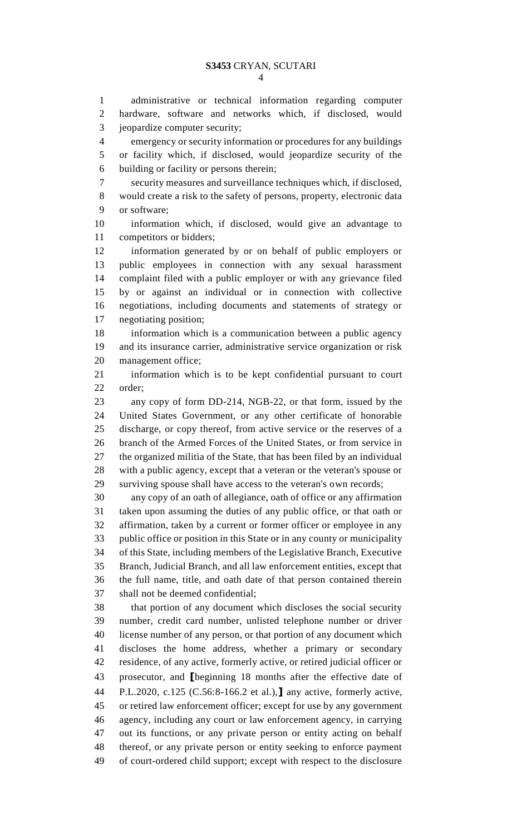administrative or technical information regarding computer hardware, software and networks which, if disclosed, would jeopardize computer security;

 emergency or security information or procedures for any buildings or facility which, if disclosed, would jeopardize security of the building or facility or persons therein;

 security measures and surveillance techniques which, if disclosed, would create a risk to the safety of persons, property, electronic data or software;

 information which, if disclosed, would give an advantage to competitors or bidders;

 information generated by or on behalf of public employers or public employees in connection with any sexual harassment complaint filed with a public employer or with any grievance filed by or against an individual or in connection with collective negotiations, including documents and statements of strategy or negotiating position;

 information which is a communication between a public agency and its insurance carrier, administrative service organization or risk management office;

 information which is to be kept confidential pursuant to court order;

 any copy of form DD-214, NGB-22, or that form, issued by the United States Government, or any other certificate of honorable discharge, or copy thereof, from active service or the reserves of a branch of the Armed Forces of the United States, or from service in the organized militia of the State, that has been filed by an individual with a public agency, except that a veteran or the veteran's spouse or surviving spouse shall have access to the veteran's own records;

 any copy of an oath of allegiance, oath of office or any affirmation taken upon assuming the duties of any public office, or that oath or affirmation, taken by a current or former officer or employee in any public office or position in this State or in any county or municipality of this State, including members of the Legislative Branch, Executive Branch, Judicial Branch, and all law enforcement entities, except that the full name, title, and oath date of that person contained therein shall not be deemed confidential;

 that portion of any document which discloses the social security number, credit card number, unlisted telephone number or driver license number of any person, or that portion of any document which discloses the home address, whether a primary or secondary residence, of any active, formerly active, or retired judicial officer or prosecutor, and **[**beginning 18 months after the effective date of P.L.2020, c.125 (C.56:8-166.2 et al.),**]** any active, formerly active, or retired law enforcement officer; except for use by any government agency, including any court or law enforcement agency, in carrying out its functions, or any private person or entity acting on behalf thereof, or any private person or entity seeking to enforce payment of court-ordered child support; except with respect to the disclosure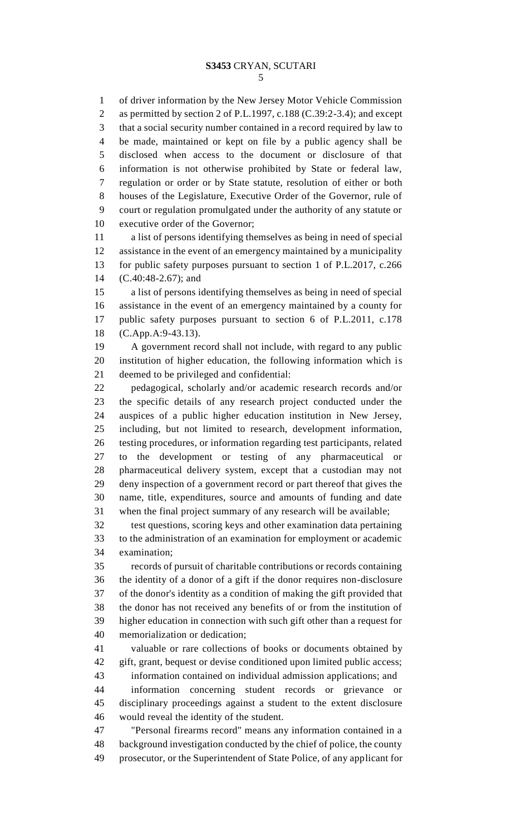of driver information by the New Jersey Motor Vehicle Commission as permitted by section 2 of P.L.1997, c.188 (C.39:2-3.4); and except that a social security number contained in a record required by law to be made, maintained or kept on file by a public agency shall be disclosed when access to the document or disclosure of that information is not otherwise prohibited by State or federal law, regulation or order or by State statute, resolution of either or both houses of the Legislature, Executive Order of the Governor, rule of court or regulation promulgated under the authority of any statute or executive order of the Governor;

 a list of persons identifying themselves as being in need of special assistance in the event of an emergency maintained by a municipality for public safety purposes pursuant to section 1 of P.L.2017, c.266 (C.40:48-2.67); and

 a list of persons identifying themselves as being in need of special assistance in the event of an emergency maintained by a county for public safety purposes pursuant to section 6 of P.L.2011, c.178 (C.App.A:9-43.13).

 A government record shall not include, with regard to any public institution of higher education, the following information which is deemed to be privileged and confidential:

 pedagogical, scholarly and/or academic research records and/or the specific details of any research project conducted under the auspices of a public higher education institution in New Jersey, including, but not limited to research, development information, testing procedures, or information regarding test participants, related to the development or testing of any pharmaceutical or pharmaceutical delivery system, except that a custodian may not deny inspection of a government record or part thereof that gives the name, title, expenditures, source and amounts of funding and date when the final project summary of any research will be available;

 test questions, scoring keys and other examination data pertaining to the administration of an examination for employment or academic examination;

 records of pursuit of charitable contributions or records containing the identity of a donor of a gift if the donor requires non-disclosure of the donor's identity as a condition of making the gift provided that the donor has not received any benefits of or from the institution of higher education in connection with such gift other than a request for memorialization or dedication;

 valuable or rare collections of books or documents obtained by gift, grant, bequest or devise conditioned upon limited public access;

 information contained on individual admission applications; and information concerning student records or grievance or disciplinary proceedings against a student to the extent disclosure would reveal the identity of the student.

 "Personal firearms record" means any information contained in a background investigation conducted by the chief of police, the county prosecutor, or the Superintendent of State Police, of any applicant for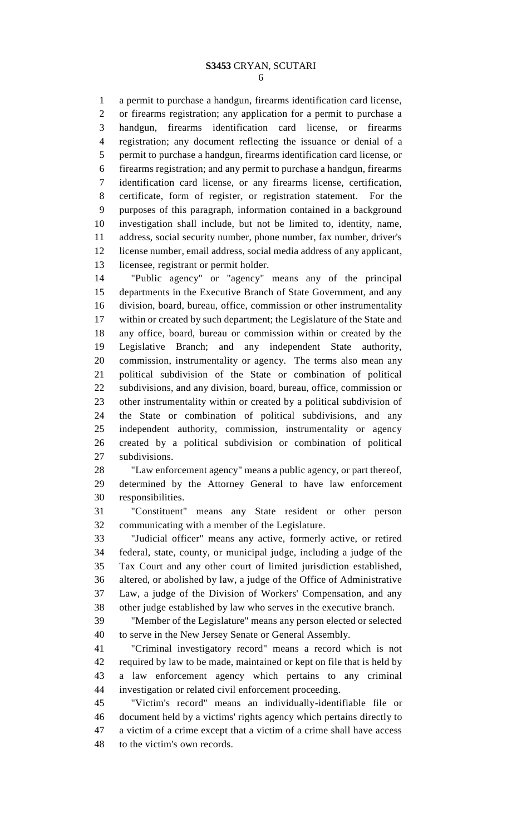a permit to purchase a handgun, firearms identification card license, or firearms registration; any application for a permit to purchase a handgun, firearms identification card license, or firearms registration; any document reflecting the issuance or denial of a permit to purchase a handgun, firearms identification card license, or firearms registration; and any permit to purchase a handgun, firearms identification card license, or any firearms license, certification, certificate, form of register, or registration statement. For the purposes of this paragraph, information contained in a background investigation shall include, but not be limited to, identity, name, address, social security number, phone number, fax number, driver's license number, email address, social media address of any applicant, licensee, registrant or permit holder.

 "Public agency" or "agency" means any of the principal departments in the Executive Branch of State Government, and any division, board, bureau, office, commission or other instrumentality within or created by such department; the Legislature of the State and any office, board, bureau or commission within or created by the Legislative Branch; and any independent State authority, commission, instrumentality or agency. The terms also mean any political subdivision of the State or combination of political subdivisions, and any division, board, bureau, office, commission or other instrumentality within or created by a political subdivision of the State or combination of political subdivisions, and any independent authority, commission, instrumentality or agency created by a political subdivision or combination of political subdivisions.

 "Law enforcement agency" means a public agency, or part thereof, determined by the Attorney General to have law enforcement responsibilities.

 "Constituent" means any State resident or other person communicating with a member of the Legislature.

 "Judicial officer" means any active, formerly active, or retired federal, state, county, or municipal judge, including a judge of the Tax Court and any other court of limited jurisdiction established, altered, or abolished by law, a judge of the Office of Administrative Law, a judge of the Division of Workers' Compensation, and any other judge established by law who serves in the executive branch.

 "Member of the Legislature" means any person elected or selected to serve in the New Jersey Senate or General Assembly.

 "Criminal investigatory record" means a record which is not required by law to be made, maintained or kept on file that is held by a law enforcement agency which pertains to any criminal investigation or related civil enforcement proceeding.

 "Victim's record" means an individually-identifiable file or document held by a victims' rights agency which pertains directly to a victim of a crime except that a victim of a crime shall have access to the victim's own records.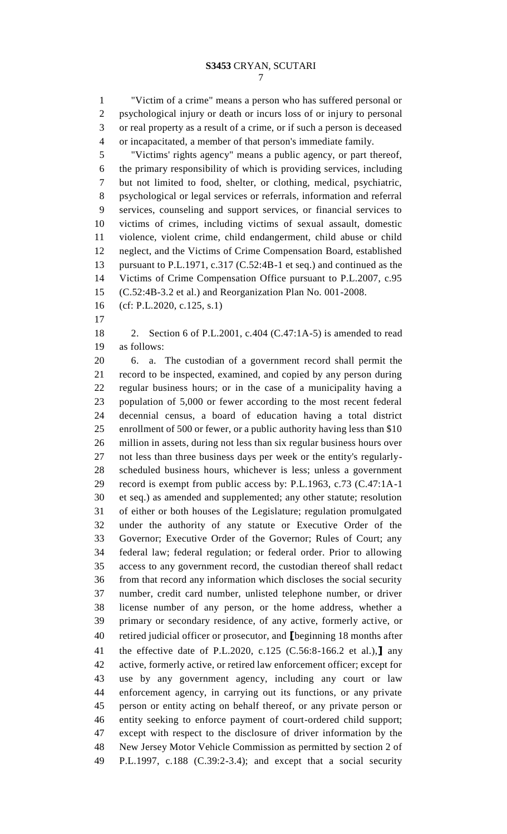"Victim of a crime" means a person who has suffered personal or psychological injury or death or incurs loss of or injury to personal or real property as a result of a crime, or if such a person is deceased or incapacitated, a member of that person's immediate family.

 "Victims' rights agency" means a public agency, or part thereof, the primary responsibility of which is providing services, including but not limited to food, shelter, or clothing, medical, psychiatric, psychological or legal services or referrals, information and referral services, counseling and support services, or financial services to victims of crimes, including victims of sexual assault, domestic violence, violent crime, child endangerment, child abuse or child neglect, and the Victims of Crime Compensation Board, established pursuant to P.L.1971, c.317 (C.52:4B-1 et seq.) and continued as the Victims of Crime Compensation Office pursuant to P.L.2007, c.95 (C.52:4B-3.2 et al.) and Reorganization Plan No. 001-2008.

- (cf: P.L.2020, c.125, s.1)
- 

 2. Section 6 of P.L.2001, c.404 (C.47:1A-5) is amended to read as follows:

 6. a. The custodian of a government record shall permit the record to be inspected, examined, and copied by any person during regular business hours; or in the case of a municipality having a population of 5,000 or fewer according to the most recent federal decennial census, a board of education having a total district enrollment of 500 or fewer, or a public authority having less than \$10 million in assets, during not less than six regular business hours over not less than three business days per week or the entity's regularly- scheduled business hours, whichever is less; unless a government record is exempt from public access by: P.L.1963, c.73 (C.47:1A-1 et seq.) as amended and supplemented; any other statute; resolution of either or both houses of the Legislature; regulation promulgated under the authority of any statute or Executive Order of the Governor; Executive Order of the Governor; Rules of Court; any federal law; federal regulation; or federal order. Prior to allowing access to any government record, the custodian thereof shall redact from that record any information which discloses the social security number, credit card number, unlisted telephone number, or driver license number of any person, or the home address, whether a primary or secondary residence, of any active, formerly active, or retired judicial officer or prosecutor, and **[**beginning 18 months after the effective date of P.L.2020, c.125 (C.56:8-166.2 et al.),**]** any active, formerly active, or retired law enforcement officer; except for use by any government agency, including any court or law enforcement agency, in carrying out its functions, or any private person or entity acting on behalf thereof, or any private person or entity seeking to enforce payment of court-ordered child support; except with respect to the disclosure of driver information by the New Jersey Motor Vehicle Commission as permitted by section 2 of P.L.1997, c.188 (C.39:2-3.4); and except that a social security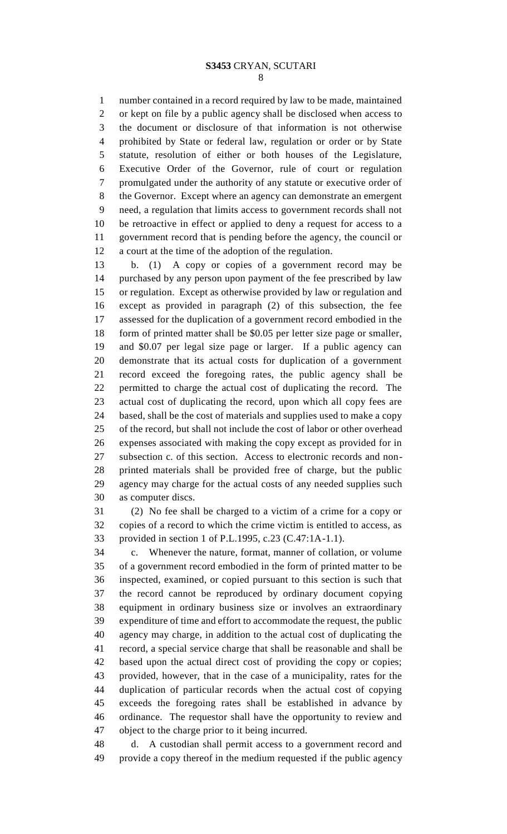number contained in a record required by law to be made, maintained or kept on file by a public agency shall be disclosed when access to the document or disclosure of that information is not otherwise prohibited by State or federal law, regulation or order or by State statute, resolution of either or both houses of the Legislature, Executive Order of the Governor, rule of court or regulation promulgated under the authority of any statute or executive order of the Governor. Except where an agency can demonstrate an emergent need, a regulation that limits access to government records shall not be retroactive in effect or applied to deny a request for access to a government record that is pending before the agency, the council or a court at the time of the adoption of the regulation.

 b. (1) A copy or copies of a government record may be purchased by any person upon payment of the fee prescribed by law or regulation. Except as otherwise provided by law or regulation and except as provided in paragraph (2) of this subsection, the fee assessed for the duplication of a government record embodied in the form of printed matter shall be \$0.05 per letter size page or smaller, and \$0.07 per legal size page or larger. If a public agency can demonstrate that its actual costs for duplication of a government record exceed the foregoing rates, the public agency shall be permitted to charge the actual cost of duplicating the record. The actual cost of duplicating the record, upon which all copy fees are based, shall be the cost of materials and supplies used to make a copy of the record, but shall not include the cost of labor or other overhead expenses associated with making the copy except as provided for in subsection c. of this section. Access to electronic records and non- printed materials shall be provided free of charge, but the public agency may charge for the actual costs of any needed supplies such as computer discs.

 (2) No fee shall be charged to a victim of a crime for a copy or copies of a record to which the crime victim is entitled to access, as provided in section 1 of P.L.1995, c.23 (C.47:1A-1.1).

 c. Whenever the nature, format, manner of collation, or volume of a government record embodied in the form of printed matter to be inspected, examined, or copied pursuant to this section is such that the record cannot be reproduced by ordinary document copying equipment in ordinary business size or involves an extraordinary expenditure of time and effort to accommodate the request, the public agency may charge, in addition to the actual cost of duplicating the record, a special service charge that shall be reasonable and shall be based upon the actual direct cost of providing the copy or copies; provided, however, that in the case of a municipality, rates for the duplication of particular records when the actual cost of copying exceeds the foregoing rates shall be established in advance by ordinance. The requestor shall have the opportunity to review and object to the charge prior to it being incurred.

 d. A custodian shall permit access to a government record and provide a copy thereof in the medium requested if the public agency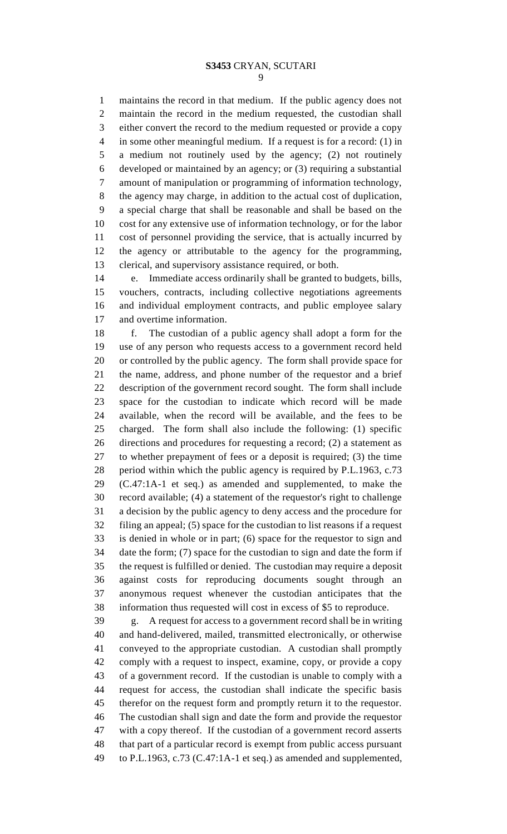maintains the record in that medium. If the public agency does not maintain the record in the medium requested, the custodian shall either convert the record to the medium requested or provide a copy in some other meaningful medium. If a request is for a record: (1) in a medium not routinely used by the agency; (2) not routinely developed or maintained by an agency; or (3) requiring a substantial amount of manipulation or programming of information technology, the agency may charge, in addition to the actual cost of duplication, a special charge that shall be reasonable and shall be based on the cost for any extensive use of information technology, or for the labor cost of personnel providing the service, that is actually incurred by the agency or attributable to the agency for the programming, clerical, and supervisory assistance required, or both.

 e. Immediate access ordinarily shall be granted to budgets, bills, vouchers, contracts, including collective negotiations agreements and individual employment contracts, and public employee salary and overtime information.

 f. The custodian of a public agency shall adopt a form for the use of any person who requests access to a government record held or controlled by the public agency. The form shall provide space for the name, address, and phone number of the requestor and a brief description of the government record sought. The form shall include space for the custodian to indicate which record will be made available, when the record will be available, and the fees to be charged. The form shall also include the following: (1) specific directions and procedures for requesting a record; (2) a statement as to whether prepayment of fees or a deposit is required; (3) the time period within which the public agency is required by P.L.1963, c.73 (C.47:1A-1 et seq.) as amended and supplemented, to make the record available; (4) a statement of the requestor's right to challenge a decision by the public agency to deny access and the procedure for filing an appeal; (5) space for the custodian to list reasons if a request is denied in whole or in part; (6) space for the requestor to sign and date the form; (7) space for the custodian to sign and date the form if the request is fulfilled or denied. The custodian may require a deposit against costs for reproducing documents sought through an anonymous request whenever the custodian anticipates that the information thus requested will cost in excess of \$5 to reproduce.

 g. A request for access to a government record shall be in writing and hand-delivered, mailed, transmitted electronically, or otherwise conveyed to the appropriate custodian. A custodian shall promptly comply with a request to inspect, examine, copy, or provide a copy of a government record. If the custodian is unable to comply with a request for access, the custodian shall indicate the specific basis therefor on the request form and promptly return it to the requestor. The custodian shall sign and date the form and provide the requestor with a copy thereof. If the custodian of a government record asserts that part of a particular record is exempt from public access pursuant to P.L.1963, c.73 (C.47:1A-1 et seq.) as amended and supplemented,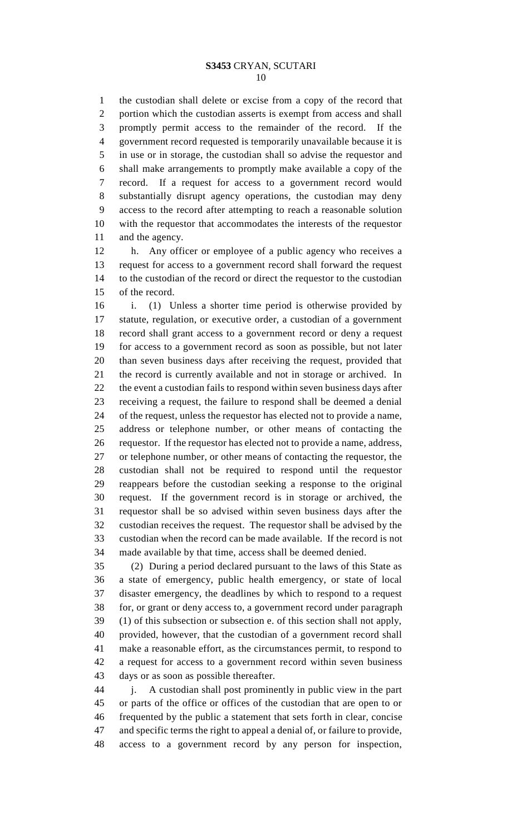the custodian shall delete or excise from a copy of the record that portion which the custodian asserts is exempt from access and shall promptly permit access to the remainder of the record. If the government record requested is temporarily unavailable because it is in use or in storage, the custodian shall so advise the requestor and shall make arrangements to promptly make available a copy of the record. If a request for access to a government record would substantially disrupt agency operations, the custodian may deny access to the record after attempting to reach a reasonable solution with the requestor that accommodates the interests of the requestor 11 and the agency.

 h. Any officer or employee of a public agency who receives a request for access to a government record shall forward the request to the custodian of the record or direct the requestor to the custodian of the record.

 i. (1) Unless a shorter time period is otherwise provided by statute, regulation, or executive order, a custodian of a government record shall grant access to a government record or deny a request for access to a government record as soon as possible, but not later than seven business days after receiving the request, provided that the record is currently available and not in storage or archived. In the event a custodian fails to respond within seven business days after receiving a request, the failure to respond shall be deemed a denial of the request, unless the requestor has elected not to provide a name, address or telephone number, or other means of contacting the requestor. If the requestor has elected not to provide a name, address, or telephone number, or other means of contacting the requestor, the custodian shall not be required to respond until the requestor reappears before the custodian seeking a response to the original request. If the government record is in storage or archived, the requestor shall be so advised within seven business days after the custodian receives the request. The requestor shall be advised by the custodian when the record can be made available. If the record is not made available by that time, access shall be deemed denied.

 (2) During a period declared pursuant to the laws of this State as a state of emergency, public health emergency, or state of local disaster emergency, the deadlines by which to respond to a request for, or grant or deny access to, a government record under paragraph (1) of this subsection or subsection e. of this section shall not apply, provided, however, that the custodian of a government record shall make a reasonable effort, as the circumstances permit, to respond to a request for access to a government record within seven business days or as soon as possible thereafter.

 j. A custodian shall post prominently in public view in the part or parts of the office or offices of the custodian that are open to or frequented by the public a statement that sets forth in clear, concise and specific terms the right to appeal a denial of, or failure to provide, access to a government record by any person for inspection,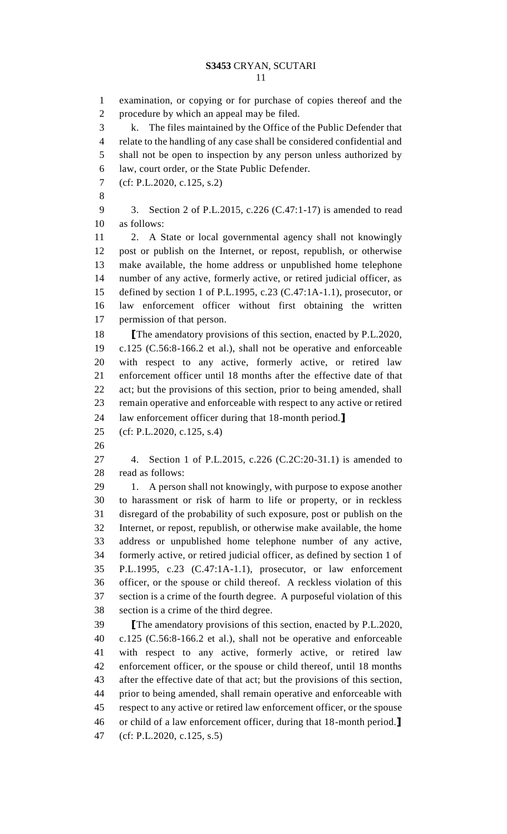examination, or copying or for purchase of copies thereof and the procedure by which an appeal may be filed. k. The files maintained by the Office of the Public Defender that relate to the handling of any case shall be considered confidential and shall not be open to inspection by any person unless authorized by law, court order, or the State Public Defender. (cf: P.L.2020, c.125, s.2) 3. Section 2 of P.L.2015, c.226 (C.47:1-17) is amended to read as follows: 2. A State or local governmental agency shall not knowingly post or publish on the Internet, or repost, republish, or otherwise make available, the home address or unpublished home telephone number of any active, formerly active, or retired judicial officer, as defined by section 1 of P.L.1995, c.23 (C.47:1A-1.1), prosecutor, or law enforcement officer without first obtaining the written permission of that person. **[**The amendatory provisions of this section, enacted by P.L.2020, c.125 (C.56:8-166.2 et al.), shall not be operative and enforceable with respect to any active, formerly active, or retired law enforcement officer until 18 months after the effective date of that act; but the provisions of this section, prior to being amended, shall remain operative and enforceable with respect to any active or retired law enforcement officer during that 18-month period.**]** (cf: P.L.2020, c.125, s.4) 4. Section 1 of P.L.2015, c.226 (C.2C:20-31.1) is amended to read as follows: 29 1. A person shall not knowingly, with purpose to expose another to harassment or risk of harm to life or property, or in reckless disregard of the probability of such exposure, post or publish on the Internet, or repost, republish, or otherwise make available, the home address or unpublished home telephone number of any active, formerly active, or retired judicial officer, as defined by section 1 of P.L.1995, c.23 (C.47:1A-1.1), prosecutor, or law enforcement officer, or the spouse or child thereof. A reckless violation of this section is a crime of the fourth degree. A purposeful violation of this section is a crime of the third degree. **[**The amendatory provisions of this section, enacted by P.L.2020, c.125 (C.56:8-166.2 et al.), shall not be operative and enforceable with respect to any active, formerly active, or retired law enforcement officer, or the spouse or child thereof, until 18 months after the effective date of that act; but the provisions of this section, prior to being amended, shall remain operative and enforceable with respect to any active or retired law enforcement officer, or the spouse

 or child of a law enforcement officer, during that 18-month period.**]** (cf: P.L.2020, c.125, s.5)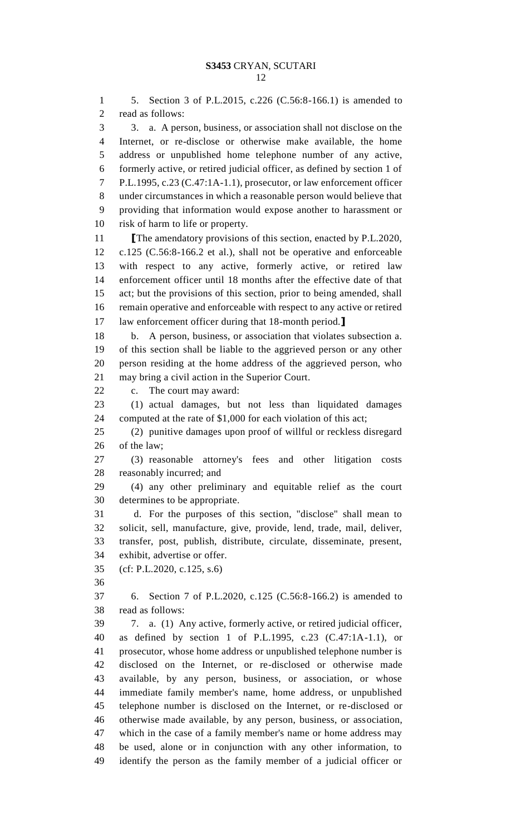5. Section 3 of P.L.2015, c.226 (C.56:8-166.1) is amended to read as follows: 3. a. A person, business, or association shall not disclose on the Internet, or re-disclose or otherwise make available, the home address or unpublished home telephone number of any active, formerly active, or retired judicial officer, as defined by section 1 of P.L.1995, c.23 (C.47:1A-1.1), prosecutor, or law enforcement officer under circumstances in which a reasonable person would believe that providing that information would expose another to harassment or risk of harm to life or property. **[The amendatory provisions of this section, enacted by P.L.2020,**  c.125 (C.56:8-166.2 et al.), shall not be operative and enforceable with respect to any active, formerly active, or retired law enforcement officer until 18 months after the effective date of that act; but the provisions of this section, prior to being amended, shall remain operative and enforceable with respect to any active or retired law enforcement officer during that 18-month period.**]** b. A person, business, or association that violates subsection a. of this section shall be liable to the aggrieved person or any other person residing at the home address of the aggrieved person, who may bring a civil action in the Superior Court. c. The court may award: (1) actual damages, but not less than liquidated damages computed at the rate of \$1,000 for each violation of this act; (2) punitive damages upon proof of willful or reckless disregard of the law; (3) reasonable attorney's fees and other litigation costs reasonably incurred; and (4) any other preliminary and equitable relief as the court determines to be appropriate. d. For the purposes of this section, "disclose" shall mean to solicit, sell, manufacture, give, provide, lend, trade, mail, deliver, transfer, post, publish, distribute, circulate, disseminate, present, exhibit, advertise or offer. (cf: P.L.2020, c.125, s.6) 6. Section 7 of P.L.2020, c.125 (C.56:8-166.2) is amended to read as follows: 7. a. (1) Any active, formerly active, or retired judicial officer, as defined by section 1 of P.L.1995, c.23 (C.47:1A-1.1), or prosecutor, whose home address or unpublished telephone number is disclosed on the Internet, or re-disclosed or otherwise made available, by any person, business, or association, or whose immediate family member's name, home address, or unpublished telephone number is disclosed on the Internet, or re-disclosed or otherwise made available, by any person, business, or association, which in the case of a family member's name or home address may be used, alone or in conjunction with any other information, to identify the person as the family member of a judicial officer or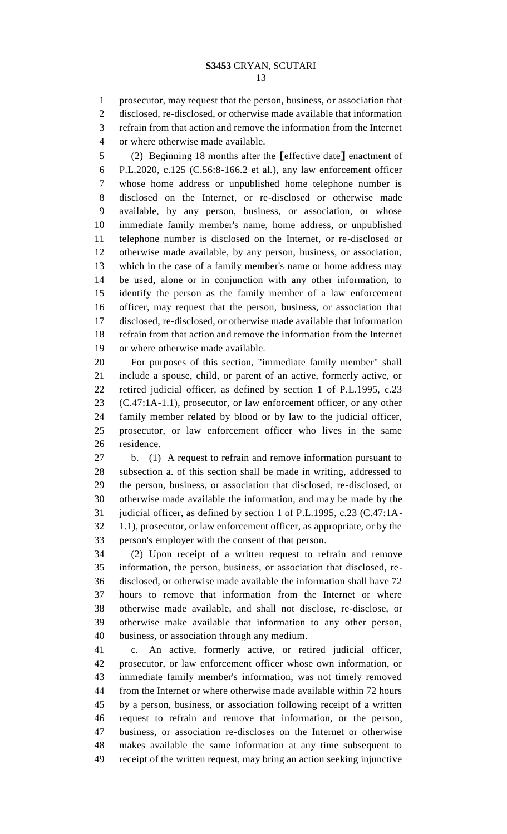prosecutor, may request that the person, business, or association that disclosed, re-disclosed, or otherwise made available that information

refrain from that action and remove the information from the Internet

or where otherwise made available.

 (2) Beginning 18 months after the **[**effective date**]** enactment of P.L.2020, c.125 (C.56:8-166.2 et al.), any law enforcement officer whose home address or unpublished home telephone number is disclosed on the Internet, or re-disclosed or otherwise made available, by any person, business, or association, or whose immediate family member's name, home address, or unpublished telephone number is disclosed on the Internet, or re-disclosed or otherwise made available, by any person, business, or association, which in the case of a family member's name or home address may be used, alone or in conjunction with any other information, to identify the person as the family member of a law enforcement officer, may request that the person, business, or association that disclosed, re-disclosed, or otherwise made available that information refrain from that action and remove the information from the Internet or where otherwise made available.

 For purposes of this section, "immediate family member" shall include a spouse, child, or parent of an active, formerly active, or retired judicial officer, as defined by section 1 of P.L.1995, c.23 (C.47:1A-1.1), prosecutor, or law enforcement officer, or any other family member related by blood or by law to the judicial officer, prosecutor, or law enforcement officer who lives in the same residence.

 b. (1) A request to refrain and remove information pursuant to subsection a. of this section shall be made in writing, addressed to the person, business, or association that disclosed, re-disclosed, or otherwise made available the information, and may be made by the judicial officer, as defined by section 1 of P.L.1995, c.23 (C.47:1A- 1.1), prosecutor, or law enforcement officer, as appropriate, or by the person's employer with the consent of that person.

 (2) Upon receipt of a written request to refrain and remove information, the person, business, or association that disclosed, re- disclosed, or otherwise made available the information shall have 72 hours to remove that information from the Internet or where otherwise made available, and shall not disclose, re-disclose, or otherwise make available that information to any other person, business, or association through any medium.

 c. An active, formerly active, or retired judicial officer, prosecutor, or law enforcement officer whose own information, or immediate family member's information, was not timely removed from the Internet or where otherwise made available within 72 hours by a person, business, or association following receipt of a written request to refrain and remove that information, or the person, business, or association re-discloses on the Internet or otherwise makes available the same information at any time subsequent to receipt of the written request, may bring an action seeking injunctive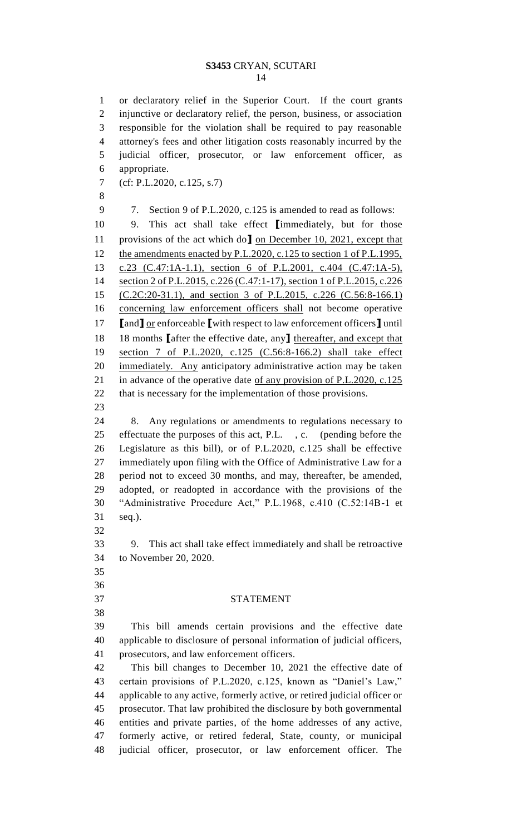or declaratory relief in the Superior Court. If the court grants injunctive or declaratory relief, the person, business, or association responsible for the violation shall be required to pay reasonable attorney's fees and other litigation costs reasonably incurred by the judicial officer, prosecutor, or law enforcement officer, as appropriate. (cf: P.L.2020, c.125, s.7) 7. Section 9 of P.L.2020, c.125 is amended to read as follows: 9. This act shall take effect **[**immediately, but for those provisions of the act which do**]** on December 10, 2021, except that 12 the amendments enacted by P.L.2020, c.125 to section 1 of P.L.1995, c.23 (C.47:1A-1.1), section 6 of P.L.2001, c.404 (C.47:1A-5), 14 section 2 of P.L.2015, c.226 (C.47:1-17), section 1 of P.L.2015, c.226 (C.2C:20-31.1), and section 3 of P.L.2015, c.226 (C.56:8-166.1) concerning law enforcement officers shall not become operative **[**and**]** or enforceable **[**with respect to law enforcement officers**]** until 18 months **[**after the effective date, any**]** thereafter, and except that section 7 of P.L.2020, c.125 (C.56:8-166.2) shall take effect immediately. Any anticipatory administrative action may be taken 21 in advance of the operative date <u>of any provision of P.L.2020, c.125</u> that is necessary for the implementation of those provisions. 8. Any regulations or amendments to regulations necessary to effectuate the purposes of this act, P.L. , c. (pending before the Legislature as this bill), or of P.L.2020, c.125 shall be effective immediately upon filing with the Office of Administrative Law for a period not to exceed 30 months, and may, thereafter, be amended, adopted, or readopted in accordance with the provisions of the

 "Administrative Procedure Act," P.L.1968, c.410 (C.52:14B-1 et seq.). 

 9. This act shall take effect immediately and shall be retroactive to November 20, 2020.

 

STATEMENT

 This bill amends certain provisions and the effective date applicable to disclosure of personal information of judicial officers, prosecutors, and law enforcement officers.

 This bill changes to December 10, 2021 the effective date of certain provisions of P.L.2020, c.125, known as "Daniel's Law," applicable to any active, formerly active, or retired judicial officer or prosecutor. That law prohibited the disclosure by both governmental entities and private parties, of the home addresses of any active, formerly active, or retired federal, State, county, or municipal judicial officer, prosecutor, or law enforcement officer. The